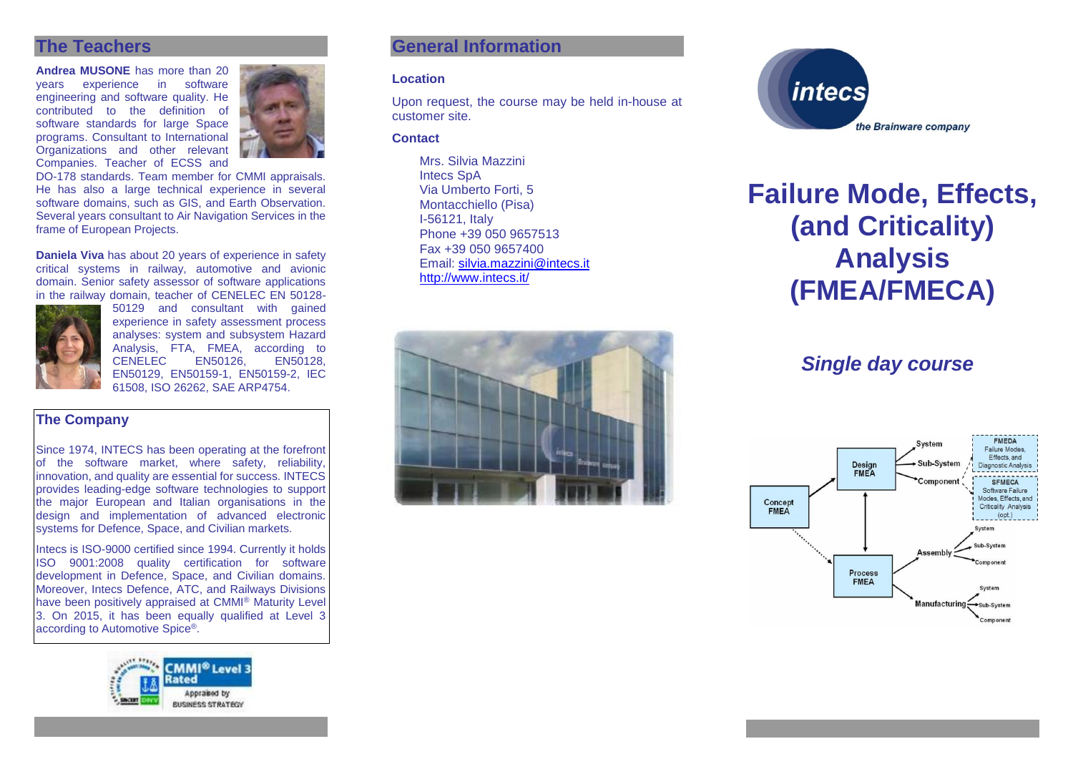# **The Teachers**

**Andrea MUSONE** has more than 20 years experience in engineering and software quality. He contributed to the definition of software standards for large Space programs. Consultant to International Organizations and other relevant Companies. Teacher of ECSS and

DO-178 standards. Team member for CMMI appraisals. He has also a large technical experience in several software domains, such as GIS, and Earth Observation. Several years consultant to Air Navigation Services in the frame of European Projects.

**Daniela Viva** has about 20 years of experience in safety critical systems in railway, automotive and avionic domain. Senior safety assessor of software applications in the railway domain, teacher of CENELEC EN 50128-



50129 and consultant with gained experience in safety assessment process analyses: system and subsystem Hazard Analysis, FTA, FMEA, according to<br>CENELEC EN50126. EN50128. CENELEC EN50126, EN50128, EN50129, EN50159-1, EN50159-2, IEC 61508, ISO 26262, SAE ARP4754.

#### **The Company**

Since 1974, INTECS has been operating at the forefront of the software market, where safety, reliability, innovation, and quality are essential for success. INTECS provides leading-edge software technologies to support the major European and Italian organisations in the design and implementation of advanced electronic systems for Defence, Space, and Civilian markets.

Intecs is ISO-9000 certified since 1994. Currently it holds ISO 9001:2008 quality certification for software development in Defence, Space, and Civilian domains. Moreover, Intecs Defence, ATC, and Railways Divisions have been positively appraised at CMMI® Maturity Level 3. On 2015, it has been equally qualified at Level 3 according to Automotive Spice®.



# **General Information**

#### **Location**

Upon request, the course may be held in-house at customer site.

#### **Contact**

Mrs. Silvia Mazzini Intecs SpA Via Umberto Forti, 5 Montacchiello (Pisa) I-56121, Italy Phone +39 050 9657513 Fax +39 050 9657400 Email: [silvia.mazzini@intecs.it](mailto:andrea.musone@intecs.it) <http://www.intecs.it/>





# **Failure Mode, Effects, (and Criticality) Analysis (FMEA/FMECA)**

# *Single day course*